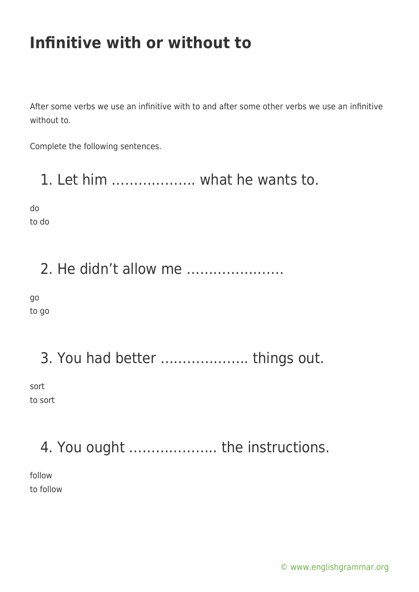## **Infinitive with or without to**

After some verbs we use an infinitive with to and after some other verbs we use an infinitive without to.

Complete the following sentences.

1. Let him ………………. what he wants to.

do to do

#### 2. He didn't allow me ………………….

go to go

3. You had better ……………….. things out.

sort to sort

# 4. You ought ……………….. the instructions.

follow to follow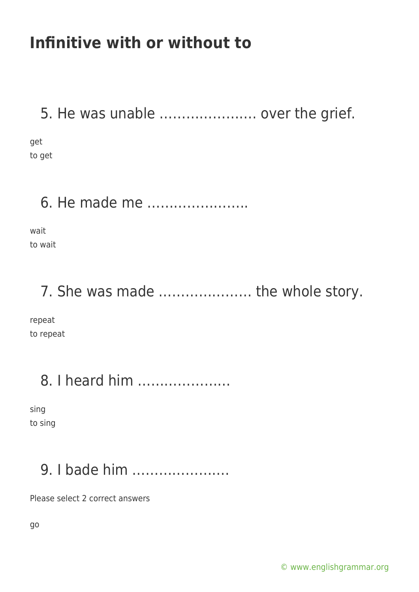## **Infinitive with or without to**

5. He was unable …………………. over the grief.

get to get

6. He made me …………………..

wait to wait

7. She was made ………………… the whole story.

repeat to repeat

## 8. I heard him …………………

sing to sing

# 9. I bade him ………………….

Please select 2 correct answers

go